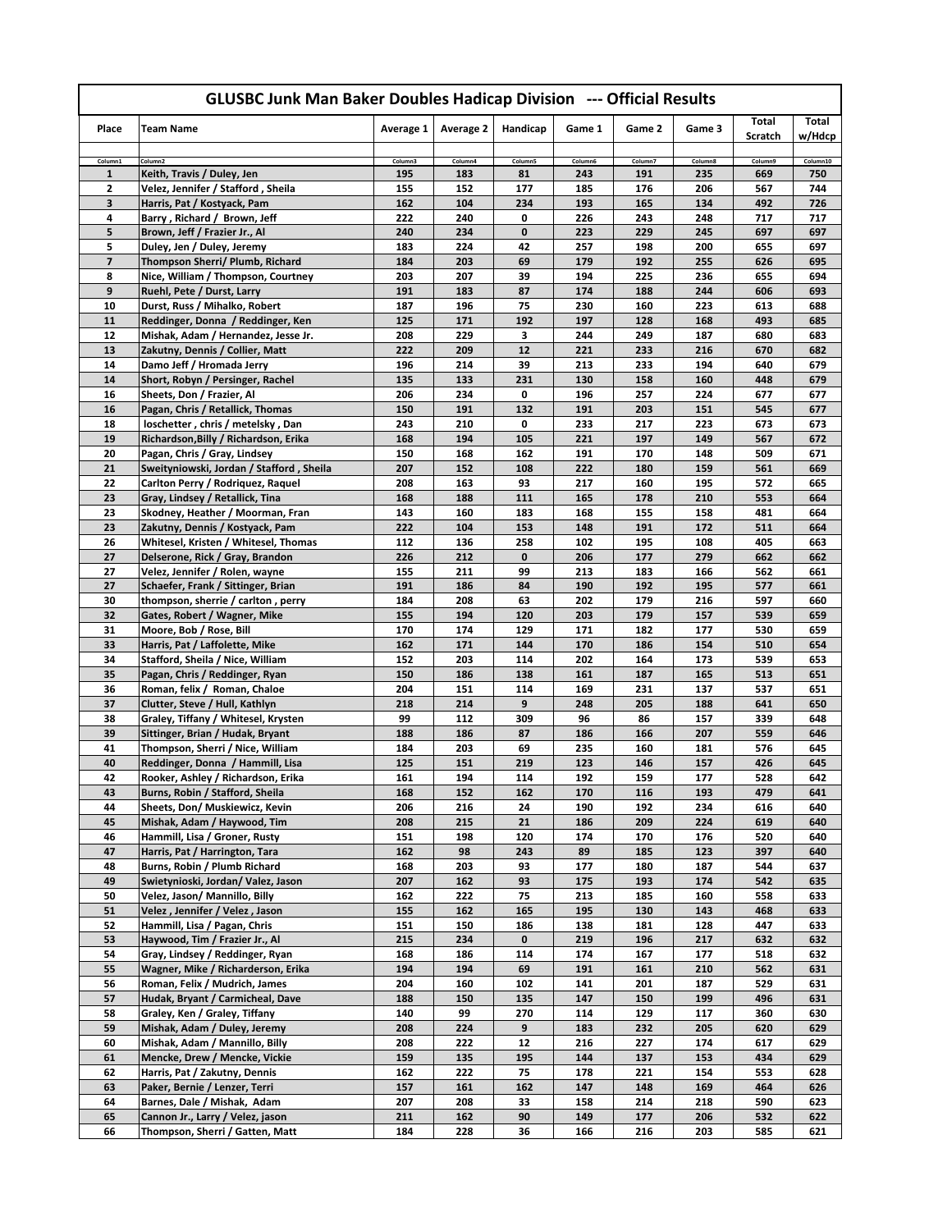| <b>GLUSBC Junk Man Baker Doubles Hadicap Division --- Official Results</b> |                                                                         |            |            |              |            |            |            |                         |                 |  |  |
|----------------------------------------------------------------------------|-------------------------------------------------------------------------|------------|------------|--------------|------------|------------|------------|-------------------------|-----------------|--|--|
| Place                                                                      | <b>Team Name</b>                                                        | Average 1  | Average 2  | Handicap     | Game 1     | Game 2     | Game 3     | Total<br><b>Scratch</b> | Total<br>w/Hdcp |  |  |
| Column1                                                                    | Column <sub>2</sub>                                                     | Column3    | Column4    | Column5      | Column6    | Column7    | Column8    | Column9                 | Column10        |  |  |
| 1                                                                          | Keith, Travis / Duley, Jen                                              | 195        | 183        | 81           | 243        | 191        | 235        | 669                     | 750             |  |  |
| 2                                                                          | Velez, Jennifer / Stafford, Sheila                                      | 155        | 152        | 177          | 185        | 176        | 206        | 567                     | 744             |  |  |
| 3                                                                          | Harris, Pat / Kostyack, Pam                                             | 162        | 104        | 234          | 193        | 165        | 134        | 492                     | 726             |  |  |
| 4                                                                          | Barry, Richard / Brown, Jeff                                            | 222        | 240        | 0            | 226        | 243        | 248        | 717                     | 717             |  |  |
| 5                                                                          | Brown, Jeff / Frazier Jr., Al                                           | 240        | 234        | $\mathbf{0}$ | 223        | 229        | 245        | 697                     | 697             |  |  |
| 5                                                                          | Duley, Jen / Duley, Jeremy                                              | 183        | 224        | 42           | 257        | 198        | 200        | 655                     | 697             |  |  |
| $\overline{7}$                                                             | Thompson Sherri/ Plumb, Richard                                         | 184        | 203        | 69           | 179        | 192        | 255        | 626                     | 695             |  |  |
| 8<br>9                                                                     | Nice, William / Thompson, Courtney                                      | 203<br>191 | 207<br>183 | 39<br>87     | 194<br>174 | 225<br>188 | 236<br>244 | 655<br>606              | 694<br>693      |  |  |
| 10                                                                         | Ruehl, Pete / Durst, Larry<br>Durst, Russ / Mihalko, Robert             | 187        | 196        | 75           | 230        | 160        | 223        | 613                     | 688             |  |  |
| 11                                                                         | Reddinger, Donna / Reddinger, Ken                                       | 125        | 171        | 192          | 197        | 128        | 168        | 493                     | 685             |  |  |
| 12                                                                         | Mishak, Adam / Hernandez, Jesse Jr.                                     | 208        | 229        | 3            | 244        | 249        | 187        | 680                     | 683             |  |  |
| 13                                                                         | Zakutny, Dennis / Collier, Matt                                         | 222        | 209        | 12           | 221        | 233        | 216        | 670                     | 682             |  |  |
| 14                                                                         | Damo Jeff / Hromada Jerry                                               | 196        | 214        | 39           | 213        | 233        | 194        | 640                     | 679             |  |  |
| 14                                                                         | Short, Robyn / Persinger, Rachel                                        | 135        | 133        | 231          | 130        | 158        | 160        | 448                     | 679             |  |  |
| 16                                                                         | Sheets, Don / Frazier, Al                                               | 206        | 234        | 0            | 196        | 257        | 224        | 677                     | 677             |  |  |
| 16                                                                         | Pagan, Chris / Retallick, Thomas                                        | 150        | 191        | 132          | 191        | 203        | 151        | 545                     | 677             |  |  |
| 18                                                                         | loschetter, chris / metelsky, Dan                                       | 243        | 210        | 0            | 233        | 217        | 223        | 673                     | 673             |  |  |
| 19                                                                         | Richardson, Billy / Richardson, Erika                                   | 168        | 194        | 105          | 221        | 197        | 149        | 567                     | 672             |  |  |
| 20                                                                         | Pagan, Chris / Gray, Lindsey                                            | 150        | 168        | 162          | 191        | 170        | 148        | 509                     | 671             |  |  |
| 21                                                                         | Sweityniowski, Jordan / Stafford, Sheila                                | 207        | 152        | 108          | 222        | 180        | 159        | 561                     | 669             |  |  |
| 22                                                                         | Carlton Perry / Rodriquez, Raquel                                       | 208        | 163        | 93           | 217        | 160        | 195        | 572                     | 665             |  |  |
| 23                                                                         | Gray, Lindsey / Retallick, Tina                                         | 168        | 188        | 111          | 165        | 178        | 210        | 553                     | 664<br>664      |  |  |
| 23<br>23                                                                   | Skodney, Heather / Moorman, Fran<br>Zakutny, Dennis / Kostyack, Pam     | 143<br>222 | 160<br>104 | 183<br>153   | 168<br>148 | 155<br>191 | 158<br>172 | 481<br>511              | 664             |  |  |
| 26                                                                         | Whitesel, Kristen / Whitesel, Thomas                                    | 112        | 136        | 258          | 102        | 195        | 108        | 405                     | 663             |  |  |
| 27                                                                         | Delserone, Rick / Gray, Brandon                                         | 226        | 212        | 0            | 206        | 177        | 279        | 662                     | 662             |  |  |
| 27                                                                         | Velez, Jennifer / Rolen, wayne                                          | 155        | 211        | 99           | 213        | 183        | 166        | 562                     | 661             |  |  |
| 27                                                                         | Schaefer, Frank / Sittinger, Brian                                      | 191        | 186        | 84           | 190        | 192        | 195        | 577                     | 661             |  |  |
| 30                                                                         | thompson, sherrie / carlton, perry                                      | 184        | 208        | 63           | 202        | 179        | 216        | 597                     | 660             |  |  |
| 32                                                                         | Gates, Robert / Wagner, Mike                                            | 155        | 194        | 120          | 203        | 179        | 157        | 539                     | 659             |  |  |
| 31                                                                         | Moore, Bob / Rose, Bill                                                 | 170        | 174        | 129          | 171        | 182        | 177        | 530                     | 659             |  |  |
| 33                                                                         | Harris, Pat / Laffolette, Mike                                          | 162        | 171        | 144          | 170        | 186        | 154        | 510                     | 654             |  |  |
| 34                                                                         | Stafford, Sheila / Nice, William                                        | 152        | 203        | 114          | 202        | 164        | 173        | 539                     | 653             |  |  |
| 35                                                                         | Pagan, Chris / Reddinger, Ryan                                          | 150        | 186        | 138          | 161        | 187        | 165        | 513                     | 651             |  |  |
| 36                                                                         | Roman, felix / Roman, Chaloe                                            | 204        | 151        | 114          | 169        | 231        | 137        | 537                     | 651             |  |  |
| 37<br>38                                                                   | Clutter, Steve / Hull, Kathlyn                                          | 218<br>99  | 214<br>112 | 9<br>309     | 248<br>96  | 205<br>86  | 188<br>157 | 641<br>339              | 650<br>648      |  |  |
| 39                                                                         | Graley, Tiffany / Whitesel, Krysten<br>Sittinger, Brian / Hudak, Bryant | 188        | 186        | 87           | 186        | 166        | 207        | 559                     | 646             |  |  |
| 41                                                                         | Thompson, Sherri / Nice, William                                        | 184        | 203        | 69           | 235        | 160        | 181        | 576                     | 645             |  |  |
| 40                                                                         | Reddinger, Donna / Hammill, Lisa                                        | 125        | 151        | 219          | 123        | 146        | 157        | 426                     | 645             |  |  |
| 42                                                                         | Rooker, Ashley / Richardson, Erika                                      | 161        | 194        | 114          | 192        | 159        | 177        | 528                     | 642             |  |  |
| 43                                                                         | Burns, Robin / Stafford, Sheila                                         | 168        | 152        | 162          | 170        | 116        | 193        | 479                     | 641             |  |  |
| 44                                                                         | Sheets, Don/ Muskiewicz, Kevin                                          | 206        | 216        | 24           | 190        | 192        | 234        | 616                     | 640             |  |  |
| 45                                                                         | Mishak, Adam / Haywood, Tim                                             | 208        | 215        | 21           | 186        | 209        | 224        | 619                     | 640             |  |  |
| 46                                                                         | Hammill, Lisa / Groner, Rusty                                           | 151        | 198        | 120          | 174        | 170        | 176        | 520                     | 640             |  |  |
| 47                                                                         | Harris, Pat / Harrington, Tara                                          | 162        | 98         | 243          | 89         | 185        | 123        | 397                     | 640             |  |  |
| 48                                                                         | Burns, Robin / Plumb Richard                                            | 168        | 203        | 93           | 177        | 180        | 187        | 544                     | 637             |  |  |
| 49                                                                         | Swietynioski, Jordan/ Valez, Jason                                      | 207        | 162        | 93           | 175        | 193        | 174        | 542                     | 635             |  |  |
| 50                                                                         | Velez, Jason/ Mannillo, Billy                                           | 162        | 222        | 75           | 213        | 185        | 160        | 558                     | 633             |  |  |
| 51                                                                         | Velez, Jennifer / Velez, Jason                                          | 155        | 162        | 165          | 195        | 130        | 143        | 468                     | 633             |  |  |
| 52<br>53                                                                   | Hammill, Lisa / Pagan, Chris<br>Haywood, Tim / Frazier Jr., Al          | 151<br>215 | 150<br>234 | 186<br>0     | 138<br>219 | 181<br>196 | 128<br>217 | 447<br>632              | 633<br>632      |  |  |
| 54                                                                         | Gray, Lindsey / Reddinger, Ryan                                         | 168        | 186        | 114          | 174        | 167        | 177        | 518                     | 632             |  |  |
| 55                                                                         | Wagner, Mike / Richarderson, Erika                                      | 194        | 194        | 69           | 191        | 161        | 210        | 562                     | 631             |  |  |
| 56                                                                         | Roman, Felix / Mudrich, James                                           | 204        | 160        | 102          | 141        | 201        | 187        | 529                     | 631             |  |  |
| 57                                                                         | Hudak, Bryant / Carmicheal, Dave                                        | 188        | 150        | 135          | 147        | 150        | 199        | 496                     | 631             |  |  |
| 58                                                                         | Graley, Ken / Graley, Tiffany                                           | 140        | 99         | 270          | 114        | 129        | 117        | 360                     | 630             |  |  |
| 59                                                                         | Mishak, Adam / Duley, Jeremy                                            | 208        | 224        | 9            | 183        | 232        | 205        | 620                     | 629             |  |  |
| 60                                                                         | Mishak, Adam / Mannillo, Billy                                          | 208        | 222        | 12           | 216        | 227        | 174        | 617                     | 629             |  |  |
| 61                                                                         | Mencke, Drew / Mencke, Vickie                                           | 159        | 135        | 195          | 144        | 137        | 153        | 434                     | 629             |  |  |
| 62                                                                         | Harris, Pat / Zakutny, Dennis                                           | 162        | 222        | 75           | 178        | 221        | 154        | 553                     | 628             |  |  |
| 63                                                                         | Paker, Bernie / Lenzer, Terri                                           | 157        | 161        | 162          | 147        | 148        | 169        | 464                     | 626             |  |  |
| 64                                                                         | Barnes, Dale / Mishak, Adam                                             | 207        | 208        | 33           | 158        | 214        | 218        | 590                     | 623             |  |  |
| 65<br>66                                                                   | Cannon Jr., Larry / Velez, jason<br>Thompson, Sherri / Gatten, Matt     | 211<br>184 | 162<br>228 | 90<br>36     | 149<br>166 | 177<br>216 | 206<br>203 | 532<br>585              | 622<br>621      |  |  |
|                                                                            |                                                                         |            |            |              |            |            |            |                         |                 |  |  |